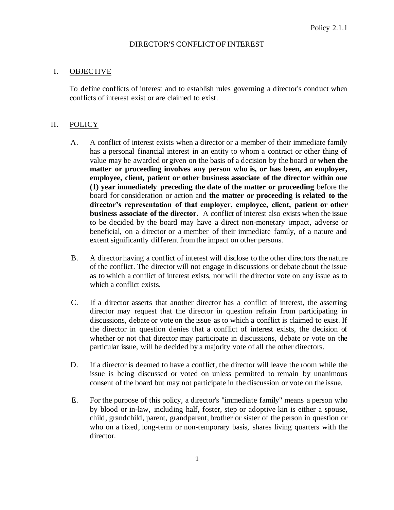## DIRECTOR'S CONFLICT OF INTEREST

## I. OBJECTIVE

To define conflicts of interest and to establish rules governing a director's conduct when conflicts of interest exist or are claimed to exist.

## II. POLICY

- A. A conflict of interest exists when a director or a member of their immediate family has a personal financial interest in an entity to whom a contract or other thing of value may be awarded or given on the basis of a decision by the board or **when the matter or proceeding involves any person who is, or has been, an employer, employee, client, patient or other business associate of the director within one (1) year immediately preceding the date of the matter or proceeding** before the board for consideration or action and **the matter or proceeding is related to the director's representation of that employer, employee, client, patient or other business associate of the director.** A conflict of interest also exists when the issue to be decided by the board may have a direct non-monetary impact, adverse or beneficial, on a director or a member of their immediate family, of a nature and extent significantly different from the impact on other persons.
- B. A director having a conflict of interest will disclose to the other directors the nature of the conflict. The director will not engage in discussions or debate about the issue as to which a conflict of interest exists, nor will the director vote on any issue as to which a conflict exists.
- C. If a director asserts that another director has a conflict of interest, the asserting director may request that the director in question refrain from participating in discussions, debate or vote on the issue as to which a conflict is claimed to exist. If the director in question denies that a conflict of interest exists, the decision of whether or not that director may participate in discussions, debate or vote on the particular issue, will be decided by a majority vote of all the other directors.
- D. If a director is deemed to have a conflict, the director will leave the room while the issue is being discussed or voted on unless permitted to remain by unanimous consent of the board but may not participate in the discussion or vote on the issue.
- E. For the purpose of this policy, a director's "immediate family" means a person who by blood or in-law, including half, foster, step or adoptive kin is either a spouse, child, grandchild, parent, grandparent, brother or sister of the person in question or who on a fixed, long-term or non-temporary basis, shares living quarters with the director.